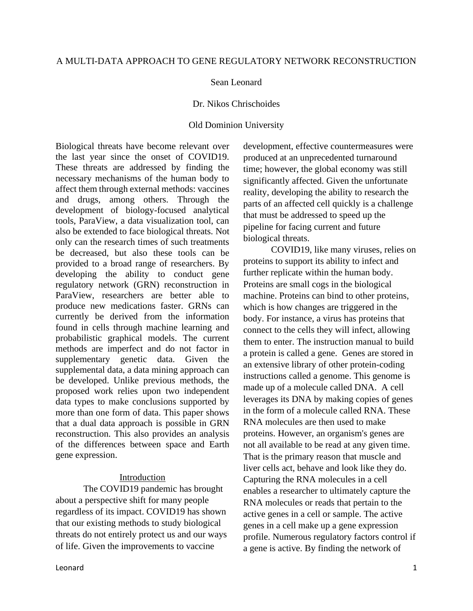# A MULTI-DATA APPROACH TO GENE REGULATORY NETWORK RECONSTRUCTION

## Sean Leonard

#### Dr. Nikos Chrischoides

## Old Dominion University

Biological threats have become relevant over the last year since the onset of COVID19. These threats are addressed by finding the necessary mechanisms of the human body to affect them through external methods: vaccines and drugs, among others. Through the development of biology-focused analytical tools, ParaView, a data visualization tool, can also be extended to face biological threats. Not only can the research times of such treatments be decreased, but also these tools can be provided to a broad range of researchers. By developing the ability to conduct gene regulatory network (GRN) reconstruction in ParaView, researchers are better able to produce new medications faster. GRNs can currently be derived from the information found in cells through machine learning and probabilistic graphical models. The current methods are imperfect and do not factor in supplementary genetic data. Given the supplemental data, a data mining approach can be developed. Unlike previous methods, the proposed work relies upon two independent data types to make conclusions supported by more than one form of data. This paper shows that a dual data approach is possible in GRN reconstruction. This also provides an analysis of the differences between space and Earth gene expression.

## Introduction

The COVID19 pandemic has brought about a perspective shift for many people regardless of its impact. COVID19 has shown that our existing methods to study biological threats do not entirely protect us and our ways of life. Given the improvements to vaccine

development, effective countermeasures were produced at an unprecedented turnaround time; however, the global economy was still significantly affected. Given the unfortunate reality, developing the ability to research the parts of an affected cell quickly is a challenge that must be addressed to speed up the pipeline for facing current and future biological threats.

COVID19, like many viruses, relies on proteins to support its ability to infect and further replicate within the human body. Proteins are small cogs in the biological machine. Proteins can bind to other proteins, which is how changes are triggered in the body. For instance, a virus has proteins that connect to the cells they will infect, allowing them to enter. The instruction manual to build a protein is called a gene. Genes are stored in an extensive library of other protein-coding instructions called a genome. This genome is made up of a molecule called DNA. A cell leverages its DNA by making copies of genes in the form of a molecule called RNA. These RNA molecules are then used to make proteins. However, an organism's genes are not all available to be read at any given time. That is the primary reason that muscle and liver cells act, behave and look like they do. Capturing the RNA molecules in a cell enables a researcher to ultimately capture the RNA molecules or reads that pertain to the active genes in a cell or sample. The active genes in a cell make up a gene expression profile. Numerous regulatory factors control if a gene is active. By finding the network of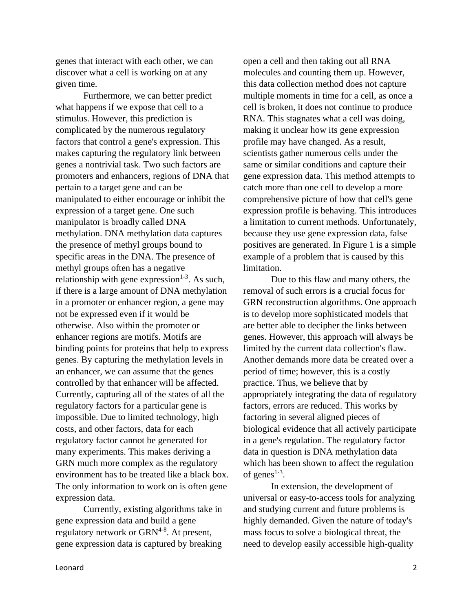genes that interact with each other, we can discover what a cell is working on at any given time.

Furthermore, we can better predict what happens if we expose that cell to a stimulus. However, this prediction is complicated by the numerous regulatory factors that control a gene's expression. This makes capturing the regulatory link between genes a nontrivial task. Two such factors are promoters and enhancers, regions of DNA that pertain to a target gene and can be manipulated to either encourage or inhibit the expression of a target gene. One such manipulator is broadly called DNA methylation. DNA methylation data captures the presence of methyl groups bound to specific areas in the DNA. The presence of methyl groups often has a negative relationship with gene expression $1-3$ . As such, if there is a large amount of DNA methylation in a promoter or enhancer region, a gene may not be expressed even if it would be otherwise. Also within the promoter or enhancer regions are motifs. Motifs are binding points for proteins that help to express genes. By capturing the methylation levels in an enhancer, we can assume that the genes controlled by that enhancer will be affected. Currently, capturing all of the states of all the regulatory factors for a particular gene is impossible. Due to limited technology, high costs, and other factors, data for each regulatory factor cannot be generated for many experiments. This makes deriving a GRN much more complex as the regulatory environment has to be treated like a black box. The only information to work on is often gene expression data.

Currently, existing algorithms take in gene expression data and build a gene regulatory network or GRN<sup>4-8</sup>. At present, gene expression data is captured by breaking

open a cell and then taking out all RNA molecules and counting them up. However, this data collection method does not capture multiple moments in time for a cell, as once a cell is broken, it does not continue to produce RNA. This stagnates what a cell was doing, making it unclear how its gene expression profile may have changed. As a result, scientists gather numerous cells under the same or similar conditions and capture their gene expression data. This method attempts to catch more than one cell to develop a more comprehensive picture of how that cell's gene expression profile is behaving. This introduces a limitation to current methods. Unfortunately, because they use gene expression data, false positives are generated. In Figure 1 is a simple example of a problem that is caused by this limitation.

Due to this flaw and many others, the removal of such errors is a crucial focus for GRN reconstruction algorithms. One approach is to develop more sophisticated models that are better able to decipher the links between genes. However, this approach will always be limited by the current data collection's flaw. Another demands more data be created over a period of time; however, this is a costly practice. Thus, we believe that by appropriately integrating the data of regulatory factors, errors are reduced. This works by factoring in several aligned pieces of biological evidence that all actively participate in a gene's regulation. The regulatory factor data in question is DNA methylation data which has been shown to affect the regulation of genes $1-3$ .

In extension, the development of universal or easy-to-access tools for analyzing and studying current and future problems is highly demanded. Given the nature of today's mass focus to solve a biological threat, the need to develop easily accessible high-quality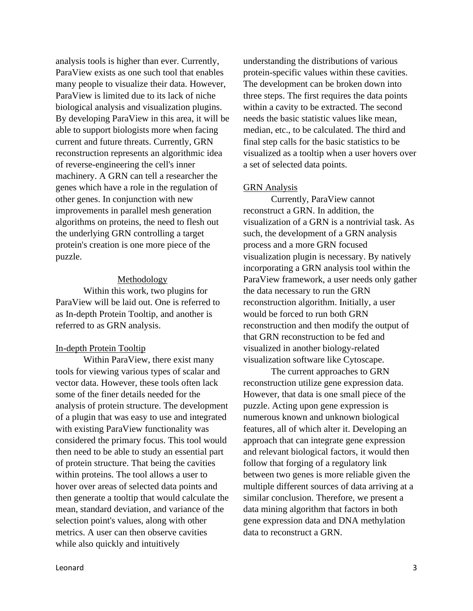analysis tools is higher than ever. Currently, ParaView exists as one such tool that enables many people to visualize their data. However, ParaView is limited due to its lack of niche biological analysis and visualization plugins. By developing ParaView in this area, it will be able to support biologists more when facing current and future threats. Currently, GRN reconstruction represents an algorithmic idea of reverse-engineering the cell's inner machinery. A GRN can tell a researcher the genes which have a role in the regulation of other genes. In conjunction with new improvements in parallel mesh generation algorithms on proteins, the need to flesh out the underlying GRN controlling a target protein's creation is one more piece of the puzzle.

### Methodology

Within this work, two plugins for ParaView will be laid out. One is referred to as In-depth Protein Tooltip, and another is referred to as GRN analysis.

## In-depth Protein Tooltip

Within ParaView, there exist many tools for viewing various types of scalar and vector data. However, these tools often lack some of the finer details needed for the analysis of protein structure. The development of a plugin that was easy to use and integrated with existing ParaView functionality was considered the primary focus. This tool would then need to be able to study an essential part of protein structure. That being the cavities within proteins. The tool allows a user to hover over areas of selected data points and then generate a tooltip that would calculate the mean, standard deviation, and variance of the selection point's values, along with other metrics. A user can then observe cavities while also quickly and intuitively

understanding the distributions of various protein-specific values within these cavities. The development can be broken down into three steps. The first requires the data points within a cavity to be extracted. The second needs the basic statistic values like mean, median, etc., to be calculated. The third and final step calls for the basic statistics to be visualized as a tooltip when a user hovers over a set of selected data points.

### GRN Analysis

Currently, ParaView cannot reconstruct a GRN. In addition, the visualization of a GRN is a nontrivial task. As such, the development of a GRN analysis process and a more GRN focused visualization plugin is necessary. By natively incorporating a GRN analysis tool within the ParaView framework, a user needs only gather the data necessary to run the GRN reconstruction algorithm. Initially, a user would be forced to run both GRN reconstruction and then modify the output of that GRN reconstruction to be fed and visualized in another biology-related visualization software like Cytoscape.

The current approaches to GRN reconstruction utilize gene expression data. However, that data is one small piece of the puzzle. Acting upon gene expression is numerous known and unknown biological features, all of which alter it. Developing an approach that can integrate gene expression and relevant biological factors, it would then follow that forging of a regulatory link between two genes is more reliable given the multiple different sources of data arriving at a similar conclusion. Therefore, we present a data mining algorithm that factors in both gene expression data and DNA methylation data to reconstruct a GRN.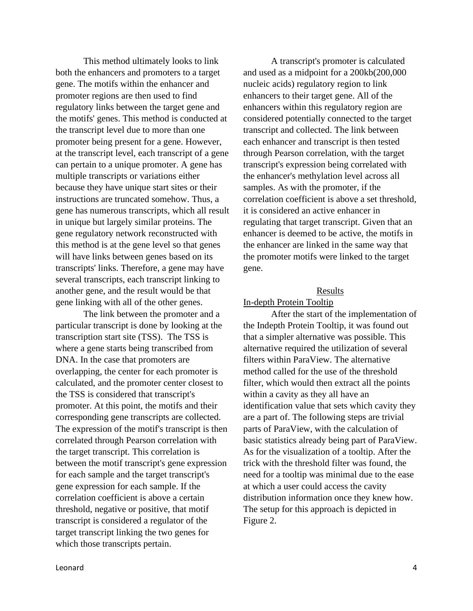This method ultimately looks to link both the enhancers and promoters to a target gene. The motifs within the enhancer and promoter regions are then used to find regulatory links between the target gene and the motifs' genes. This method is conducted at the transcript level due to more than one promoter being present for a gene. However, at the transcript level, each transcript of a gene can pertain to a unique promoter. A gene has multiple transcripts or variations either because they have unique start sites or their instructions are truncated somehow. Thus, a gene has numerous transcripts, which all result in unique but largely similar proteins. The gene regulatory network reconstructed with this method is at the gene level so that genes will have links between genes based on its transcripts' links. Therefore, a gene may have several transcripts, each transcript linking to another gene, and the result would be that gene linking with all of the other genes.

The link between the promoter and a particular transcript is done by looking at the transcription start site (TSS). The TSS is where a gene starts being transcribed from DNA. In the case that promoters are overlapping, the center for each promoter is calculated, and the promoter center closest to the TSS is considered that transcript's promoter. At this point, the motifs and their corresponding gene transcripts are collected. The expression of the motif's transcript is then correlated through Pearson correlation with the target transcript. This correlation is between the motif transcript's gene expression for each sample and the target transcript's gene expression for each sample. If the correlation coefficient is above a certain threshold, negative or positive, that motif transcript is considered a regulator of the target transcript linking the two genes for which those transcripts pertain.

A transcript's promoter is calculated and used as a midpoint for a 200kb(200,000 nucleic acids) regulatory region to link enhancers to their target gene. All of the enhancers within this regulatory region are considered potentially connected to the target transcript and collected. The link between each enhancer and transcript is then tested through Pearson correlation, with the target transcript's expression being correlated with the enhancer's methylation level across all samples. As with the promoter, if the correlation coefficient is above a set threshold, it is considered an active enhancer in regulating that target transcript. Given that an enhancer is deemed to be active, the motifs in the enhancer are linked in the same way that the promoter motifs were linked to the target gene.

### Results

### In-depth Protein Tooltip

After the start of the implementation of the Indepth Protein Tooltip, it was found out that a simpler alternative was possible. This alternative required the utilization of several filters within ParaView. The alternative method called for the use of the threshold filter, which would then extract all the points within a cavity as they all have an identification value that sets which cavity they are a part of. The following steps are trivial parts of ParaView, with the calculation of basic statistics already being part of ParaView. As for the visualization of a tooltip. After the trick with the threshold filter was found, the need for a tooltip was minimal due to the ease at which a user could access the cavity distribution information once they knew how. The setup for this approach is depicted in Figure 2.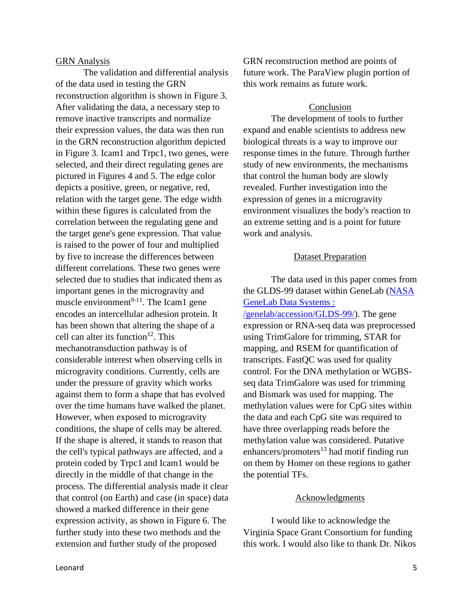### GRN Analysis

The validation and differential analysis of the data used in testing the GRN reconstruction algorithm is shown in Figure 3. After validating the data, a necessary step to remove inactive transcripts and normalize their expression values, the data was then run in the GRN reconstruction algorithm depicted in Figure 3. Icam1 and Trpc1, two genes, were selected, and their direct regulating genes are pictured in Figures 4 and 5. The edge color depicts a positive, green, or negative, red, relation with the target gene. The edge width within these figures is calculated from the correlation between the regulating gene and the target gene's gene expression. That value is raised to the power of four and multiplied by five to increase the differences between different correlations. These two genes were selected due to studies that indicated them as important genes in the microgravity and muscle environment $9-11$ . The Icam1 gene encodes an intercellular adhesion protein. It has been shown that altering the shape of a cell can alter its function $^{12}$ . This mechanotransduction pathway is of considerable interest when observing cells in microgravity conditions. Currently, cells are under the pressure of gravity which works against them to form a shape that has evolved over the time humans have walked the planet. However, when exposed to microgravity conditions, the shape of cells may be altered. If the shape is altered, it stands to reason that the cell's typical pathways are affected, and a protein coded by Trpc1 and Icam1 would be directly in the middle of that change in the process. The differential analysis made it clear that control (on Earth) and case (in space) data showed a marked difference in their gene expression activity, as shown in Figure 6. The further study into these two methods and the extension and further study of the proposed

GRN reconstruction method are points of future work. The ParaView plugin portion of this work remains as future work.

# Conclusion

The development of tools to further expand and enable scientists to address new biological threats is a way to improve our response times in the future. Through further study of new environments, the mechanisms that control the human body are slowly revealed. Further investigation into the expression of genes in a microgravity environment visualizes the body's reaction to an extreme setting and is a point for future work and analysis.

# Dataset Preparation

The data used in this paper comes from the GLDS-99 dataset within GeneLab [\(NASA](https://genelab-data.ndc.nasa.gov/genelab/accession/GLDS-99/)  [GeneLab Data Systems :](https://genelab-data.ndc.nasa.gov/genelab/accession/GLDS-99/) 

[/genelab/accession/GLDS-99/\)](https://genelab-data.ndc.nasa.gov/genelab/accession/GLDS-99/). The gene expression or RNA-seq data was preprocessed using TrimGalore for trimming, STAR for mapping, and RSEM for quantification of transcripts. FastQC was used for quality control. For the DNA methylation or WGBSseq data TrimGalore was used for trimming and Bismark was used for mapping. The methylation values were for CpG sites within the data and each CpG site was required to have three overlapping reads before the methylation value was considered. Putative enhancers/promoters $^{13}$  had motif finding run on them by Homer on these regions to gather the potential TFs.

## Acknowledgments

I would like to acknowledge the Virginia Space Grant Consortium for funding this work. I would also like to thank Dr. Nikos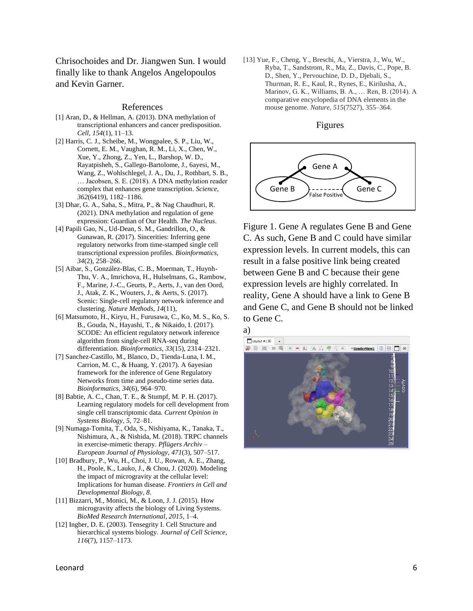Chrisochoides and Dr. Jiangwen Sun. I would finally like to thank Angelos Angelopoulos and Kevin Garner.

#### References

- [1] Aran, D., & Hellman, A. (2013). DNA methylation of transcriptional enhancers and cancer predisposition. *Cell*, *154*(1), 11–13.
- [2] Harris, C. J., Scheibe, M., Wongpalee, S. P., Liu, W., Cornett, E. M., Vaughan, R. M., Li, X., Chen, W., Xue, Y., Zhong, Z., Yen, L., Barshop, W. D., Rayatpisheh, S., Gallego-Bartolome, J., 6ayesi, M., Wang, Z., Wohlschlegel, J. A., Du, J., Rothbart, S. B., … Jacobsen, S. E. (2018). A DNA methylation reader complex that enhances gene transcription. *Science*, *362*(6419), 1182–1186.
- [3] Dhar, G. A., Saha, S., Mitra, P., & Nag Chaudhuri, R. (2021). DNA methylation and regulation of gene expression: Guardian of Our Health. *The Nucleus*.
- [4] Papili Gao, N., Ud-Dean, S. M., Gandrillon, O., & Gunawan, R. (2017). Sincerities: Inferring gene regulatory networks from time-stamped single cell transcriptional expression profiles. *Bioinformatics*, *34*(2), 258–266.
- [5] Aibar, S., González-Blas, C. B., Moerman, T., Huynh-Thu, V. A., Imrichova, H., Hulselmans, G., Rambow, F., Marine, J.-C., Geurts, P., Aerts, J., van den Oord, J., Atak, Z. K., Wouters, J., & Aerts, S. (2017). Scenic: Single-cell regulatory network inference and clustering. *Nature Methods*, *14*(11),
- [6] Matsumoto, H., Kiryu, H., Furusawa, C., Ko, M. S., Ko, S. B., Gouda, N., Hayashi, T., & Nikaido, I. (2017). SCODE: An efficient regulatory network inference algorithm from single-cell RNA-seq during differentiation. *Bioinformatics*, *33*(15), 2314–2321.
- [7] Sanchez-Castillo, M., Blanco, D., Tienda-Luna, I. M., Carrion, M. C., & Huang, Y. (2017). A 6ayesian framework for the inference of Gene Regulatory Networks from time and pseudo-time series data. *Bioinformatics*, *34*(6), 964–970.
- [8] Babtie, A. C., Chan, T. E., & Stumpf, M. P. H. (2017). Learning regulatory models for cell development from single cell transcriptomic data. *Current Opinion in Systems Biology*, *5*, 72–81.
- [9] Numaga-Tomita, T., Oda, S., Nishiyama, K., Tanaka, T., Nishimura, A., & Nishida, M. (2018). TRPC channels in exercise-mimetic therapy. *Pflügers Archiv – European Journal of Physiology*, *471*(3), 507–517.
- [10] Bradbury, P., Wu, H., Choi, J. U., Rowan, A. E., Zhang, H., Poole, K., Lauko, J., & Chou, J. (2020). Modeling the impact of microgravity at the cellular level: Implications for human disease. *Frontiers in Cell and Developmental Biology*, *8*.
- [11] Bizzarri, M., Monici, M., & Loon, J. J. (2015). How microgravity affects the biology of Living Systems. *BioMed Research International*, *2015*, 1–4.
- [12] Ingber, D. E. (2003). Tensegrity I. Cell Structure and hierarchical systems biology. *Journal of Cell Science*, *116*(7), 1157–1173.

[13] Yue, F., Cheng, Y., Breschi, A., Vierstra, J., Wu, W., Ryba, T., Sandstrom, R., Ma, Z., Davis, C., Pope, B. D., Shen, Y., Pervouchine, D. D., Djebali, S., Thurman, R. E., Kaul, R., Rynes, E., Kirilusha, A., Marinov, G. K., Williams, B. A., … Ren, B. (2014). A comparative encyclopedia of DNA elements in the mouse genome. *Nature*, *515*(7527), 355–364.

#### Figures



Figure 1. Gene A regulates Gene B and Gene C. As such, Gene B and C could have similar expression levels. In current models, this can result in a false positive link being created between Gene B and C because their gene expression levels are highly correlated. In reality, Gene A should have a link to Gene B and Gene C, and Gene B should not be linked to Gene C.

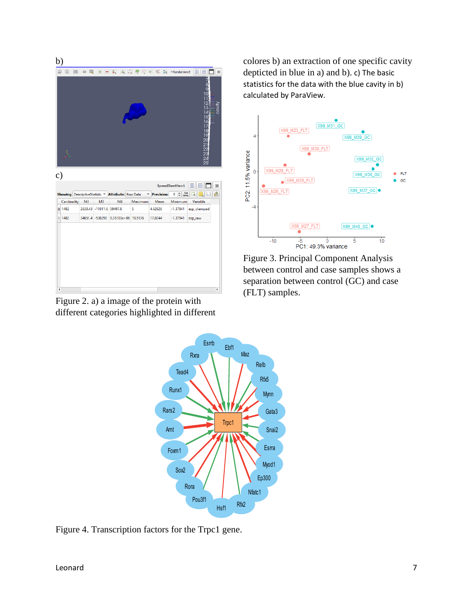| b)                                                   |             |  |                                |                          |                                           |         |                   |                                                     |                                                                                 |
|------------------------------------------------------|-------------|--|--------------------------------|--------------------------|-------------------------------------------|---------|-------------------|-----------------------------------------------------|---------------------------------------------------------------------------------|
| R                                                    |             |  |                                |                          | <b>图画: 80 图画图图图图像图形标题 &gt;RenderView2</b> |         |                   |                                                     | 8 E I<br>$\Box$<br>$\boxtimes$                                                  |
|                                                      |             |  |                                |                          |                                           |         |                   |                                                     | 8<br>$\overline{12}$<br>cavity<br>lG<br>$\overline{A}$<br>5<br>16<br>1890122345 |
| $\circ$ )<br>SpreadSheetView1<br>$\boxed{\boxtimes}$ |             |  |                                |                          |                                           |         |                   |                                                     |                                                                                 |
|                                                      |             |  |                                |                          |                                           |         |                   |                                                     |                                                                                 |
|                                                      |             |  | Showing DescriptiveStatistic = |                          | <b>Attribute: Row Data</b>                | ▼       | <b>Precision:</b> | $\stackrel{10}{\mapsto}$<br>$\hat{\mathbb{I}}$<br>6 | 击<br>}<br>Ы                                                                     |
|                                                      | Cardinality |  | M <sub>2</sub>                 | M <sub>3</sub>           | M <sub>4</sub>                            | Maximum | Mean              | Minimum                                             | Variable                                                                        |
| $\mathbf{0}$                                         | 1482        |  |                                | 2638.43 -11911.6 59497.8 |                                           | 5       | 4.62926           | $-1.37941$                                          | esp_clamped                                                                     |
| 1 <sup>1</sup>                                       | 1482        |  |                                |                          | 34651.4 -538290 9.35103e+06 19.5136       |         | 17.0244           | $-1.37941$                                          | esp_raw                                                                         |
|                                                      |             |  |                                |                          |                                           |         |                   |                                                     |                                                                                 |

Figure 2. a) a image of the protein with different categories highlighted in different

colores b) an extraction of one specific cavity depticted in blue in a) and b). c) The basic statistics for the data with the blue cavity in b) calculated by ParaView.



Figure 3. Principal Component Analysis between control and case samples shows a separation between control (GC) and case (FLT) samples.



Figure 4. Transcription factors for the Trpc1 gene.